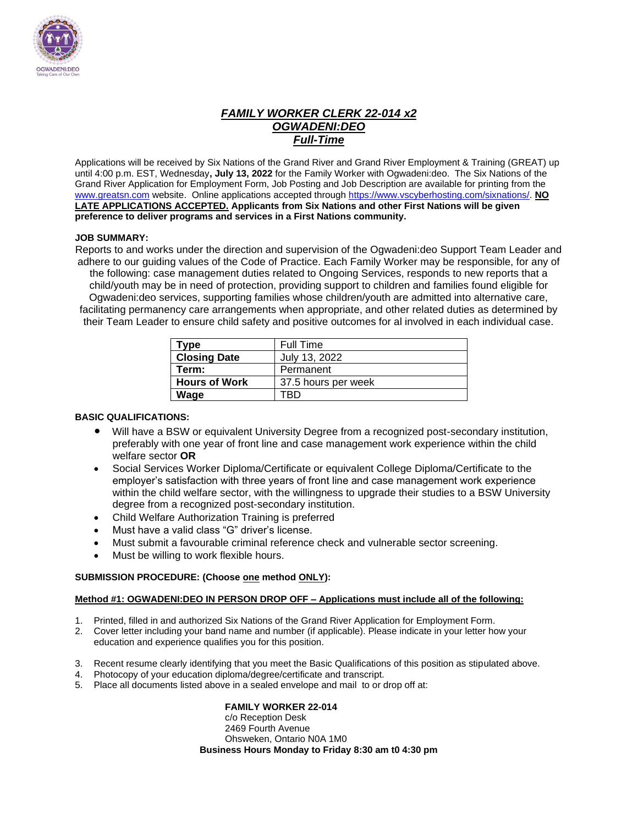

### *FAMILY WORKER CLERK 22-014 x2 OGWADENI:DEO Full-Time*

Applications will be received by Six Nations of the Grand River and Grand River Employment & Training (GREAT) up until 4:00 p.m. EST, Wednesday**, July 13, 2022** for the Family Worker with Ogwadeni:deo. The Six Nations of the Grand River Application for Employment Form, Job Posting and Job Description are available for printing from the [www.greatsn.com](http://www.greatsn.com/) website. Online applications accepted throug[h https://www.vscyberhosting.com/sixnations/.](https://www.vscyberhosting.com/sixnations/) **NO LATE APPLICATIONS ACCEPTED. Applicants from Six Nations and other First Nations will be given preference to deliver programs and services in a First Nations community.**

#### **JOB SUMMARY:**

Reports to and works under the direction and supervision of the Ogwadeni:deo Support Team Leader and adhere to our guiding values of the Code of Practice. Each Family Worker may be responsible, for any of the following: case management duties related to Ongoing Services, responds to new reports that a child/youth may be in need of protection, providing support to children and families found eligible for Ogwadeni:deo services, supporting families whose children/youth are admitted into alternative care, facilitating permanency care arrangements when appropriate, and other related duties as determined by their Team Leader to ensure child safety and positive outcomes for al involved in each individual case.

| Type                 | <b>Full Time</b>    |
|----------------------|---------------------|
| <b>Closing Date</b>  | July 13, 2022       |
| Term:                | Permanent           |
| <b>Hours of Work</b> | 37.5 hours per week |
| Wage                 | TRD                 |

#### **BASIC QUALIFICATIONS:**

- Will have a BSW or equivalent University Degree from a recognized post-secondary institution, preferably with one year of front line and case management work experience within the child welfare sector **OR**
- Social Services Worker Diploma/Certificate or equivalent College Diploma/Certificate to the employer's satisfaction with three years of front line and case management work experience within the child welfare sector, with the willingness to upgrade their studies to a BSW University degree from a recognized post-secondary institution.
- Child Welfare Authorization Training is preferred
- Must have a valid class "G" driver's license.
- Must submit a favourable criminal reference check and vulnerable sector screening.
- Must be willing to work flexible hours.

#### **SUBMISSION PROCEDURE: (Choose one method ONLY):**

#### **Method #1: OGWADENI:DEO IN PERSON DROP OFF – Applications must include all of the following:**

- 1. Printed, filled in and authorized Six Nations of the Grand River Application for Employment Form.
- 2. Cover letter including your band name and number (if applicable). Please indicate in your letter how your education and experience qualifies you for this position.
- 3. Recent resume clearly identifying that you meet the Basic Qualifications of this position as stipulated above.
- 4. Photocopy of your education diploma/degree/certificate and transcript.
- 5. Place all documents listed above in a sealed envelope and mail to or drop off at:

#### **FAMILY WORKER 22-014**

c/o Reception Desk 2469 Fourth Avenue Ohsweken, Ontario N0A 1M0 **Business Hours Monday to Friday 8:30 am t0 4:30 pm**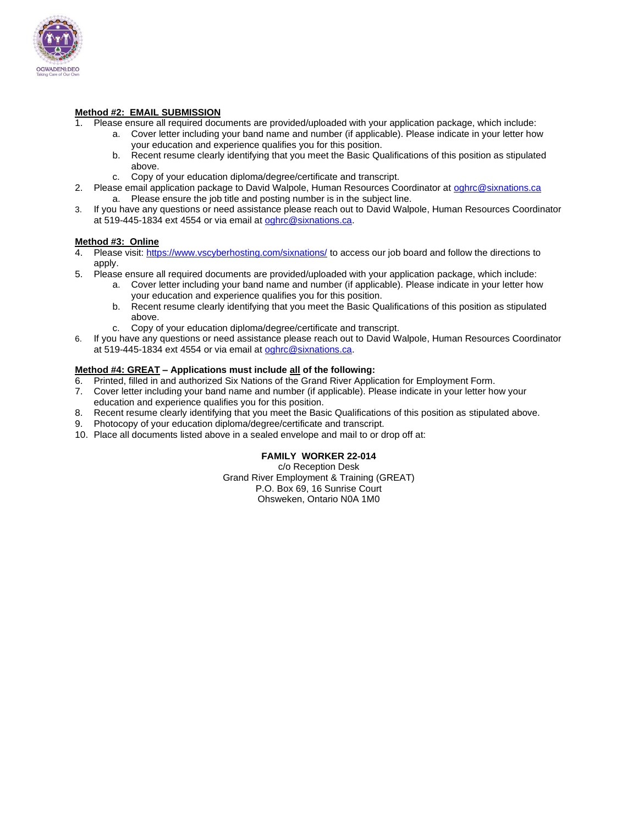

#### **Method #2: EMAIL SUBMISSION**

- 1. Please ensure all required documents are provided/uploaded with your application package, which include:
	- a. Cover letter including your band name and number (if applicable). Please indicate in your letter how your education and experience qualifies you for this position.
	- b. Recent resume clearly identifying that you meet the Basic Qualifications of this position as stipulated above.
	- c. Copy of your education diploma/degree/certificate and transcript.
- 2. Please email application package to David Walpole, Human Resources Coordinator at [oghrc@sixnations.ca](mailto:oghrc@sixnations.ca) a. Please ensure the job title and posting number is in the subject line.
- 3. If you have any questions or need assistance please reach out to David Walpole, Human Resources Coordinator at 519-445-1834 ext 4554 or via email at [oghrc@sixnations.ca.](mailto:oghrc@sixnations.ca)

#### **Method #3: Online**

- 4. Please visit[: https://www.vscyberhosting.com/sixnations/](https://www.vscyberhosting.com/sixnations/) to access our job board and follow the directions to apply.
- 5. Please ensure all required documents are provided/uploaded with your application package, which include:
	- a. Cover letter including your band name and number (if applicable). Please indicate in your letter how your education and experience qualifies you for this position.
	- b. Recent resume clearly identifying that you meet the Basic Qualifications of this position as stipulated above.
	- c. Copy of your education diploma/degree/certificate and transcript.
- 6. If you have any questions or need assistance please reach out to David Walpole, Human Resources Coordinator at 519-445-1834 ext 4554 or via email at [oghrc@sixnations.ca.](mailto:oghrc@sixnations.ca)

#### **Method #4: GREAT – Applications must include all of the following:**

- 6. Printed, filled in and authorized Six Nations of the Grand River Application for Employment Form.
- 7. Cover letter including your band name and number (if applicable). Please indicate in your letter how your education and experience qualifies you for this position.
- 8. Recent resume clearly identifying that you meet the Basic Qualifications of this position as stipulated above.
- 9. Photocopy of your education diploma/degree/certificate and transcript.
- 10. Place all documents listed above in a sealed envelope and mail to or drop off at:

#### **FAMILY WORKER 22-014**

c/o Reception Desk Grand River Employment & Training (GREAT) P.O. Box 69, 16 Sunrise Court Ohsweken, Ontario N0A 1M0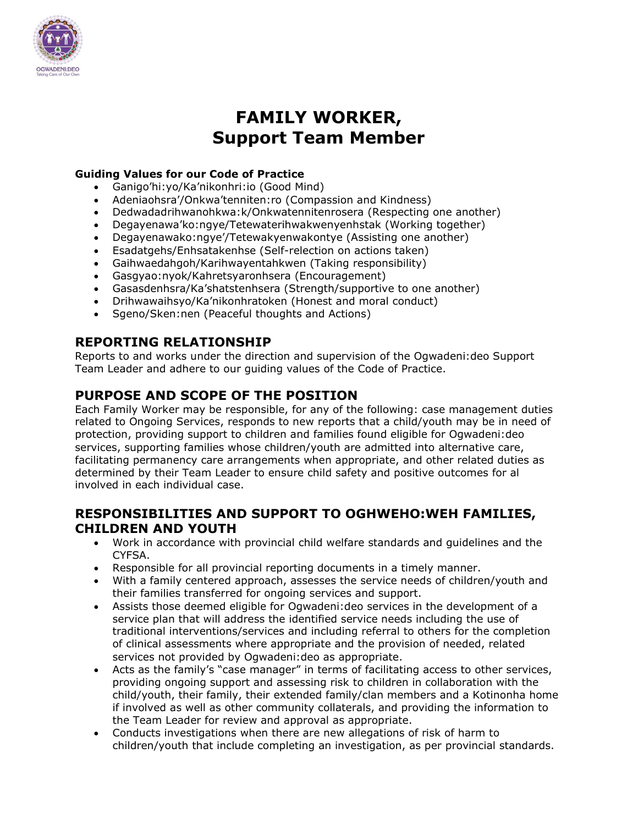

# **FAMILY WORKER, Support Team Member**

### **Guiding Values for our Code of Practice**

- Ganigo'hi:yo/Ka'nikonhri:io (Good Mind)
- Adeniaohsra'/Onkwa'tenniten:ro (Compassion and Kindness)
- Dedwadadrihwanohkwa:k/Onkwatennitenrosera (Respecting one another)
- Degayenawa'ko:ngye/Tetewaterihwakwenyenhstak (Working together)
- Degayenawako:ngye'/Tetewakyenwakontye (Assisting one another)
- Esadatgehs/Enhsatakenhse (Self-relection on actions taken)
- Gaihwaedahgoh/Karihwayentahkwen (Taking responsibility)
- Gasgyao:nyok/Kahretsyaronhsera (Encouragement)
- Gasasdenhsra/Ka'shatstenhsera (Strength/supportive to one another)
- Drihwawaihsyo/Ka'nikonhratoken (Honest and moral conduct)
- Sgeno/Sken:nen (Peaceful thoughts and Actions)

### **REPORTING RELATIONSHIP**

Reports to and works under the direction and supervision of the Ogwadeni:deo Support Team Leader and adhere to our guiding values of the Code of Practice.

### **PURPOSE AND SCOPE OF THE POSITION**

Each Family Worker may be responsible, for any of the following: case management duties related to Ongoing Services, responds to new reports that a child/youth may be in need of protection, providing support to children and families found eligible for Ogwadeni:deo services, supporting families whose children/youth are admitted into alternative care, facilitating permanency care arrangements when appropriate, and other related duties as determined by their Team Leader to ensure child safety and positive outcomes for al involved in each individual case.

### **RESPONSIBILITIES AND SUPPORT TO OGHWEHO:WEH FAMILIES, CHILDREN AND YOUTH**

- Work in accordance with provincial child welfare standards and guidelines and the CYFSA.
- Responsible for all provincial reporting documents in a timely manner.
- With a family centered approach, assesses the service needs of children/youth and their families transferred for ongoing services and support.
- Assists those deemed eligible for Ogwadeni:deo services in the development of a service plan that will address the identified service needs including the use of traditional interventions/services and including referral to others for the completion of clinical assessments where appropriate and the provision of needed, related services not provided by Ogwadeni:deo as appropriate.
- Acts as the family's "case manager" in terms of facilitating access to other services, providing ongoing support and assessing risk to children in collaboration with the child/youth, their family, their extended family/clan members and a Kotinonha home if involved as well as other community collaterals, and providing the information to the Team Leader for review and approval as appropriate.
- Conducts investigations when there are new allegations of risk of harm to children/youth that include completing an investigation, as per provincial standards.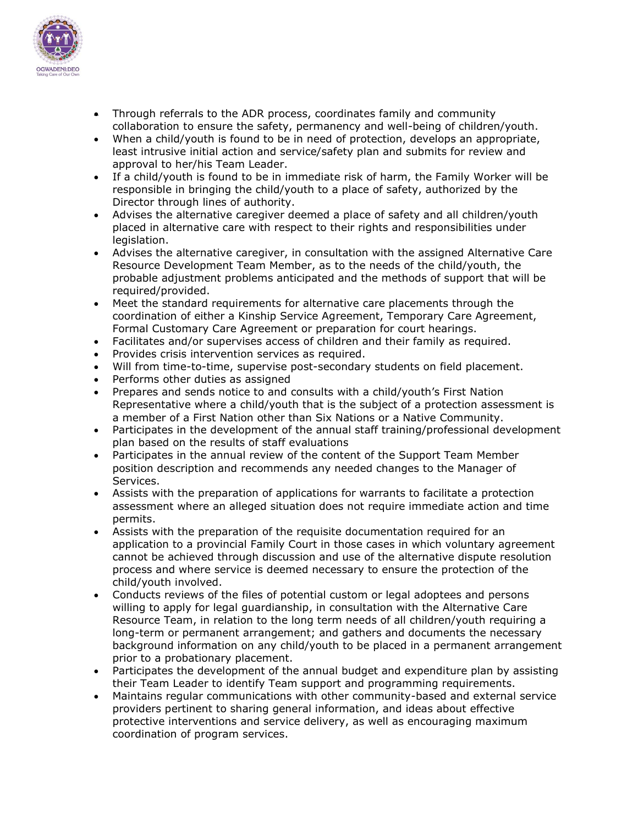

- Through referrals to the ADR process, coordinates family and community collaboration to ensure the safety, permanency and well-being of children/youth.
- When a child/youth is found to be in need of protection, develops an appropriate, least intrusive initial action and service/safety plan and submits for review and approval to her/his Team Leader.
- If a child/youth is found to be in immediate risk of harm, the Family Worker will be responsible in bringing the child/youth to a place of safety, authorized by the Director through lines of authority.
- Advises the alternative caregiver deemed a place of safety and all children/youth placed in alternative care with respect to their rights and responsibilities under legislation.
- Advises the alternative caregiver, in consultation with the assigned Alternative Care Resource Development Team Member, as to the needs of the child/youth, the probable adjustment problems anticipated and the methods of support that will be required/provided.
- Meet the standard requirements for alternative care placements through the coordination of either a Kinship Service Agreement, Temporary Care Agreement, Formal Customary Care Agreement or preparation for court hearings.
- Facilitates and/or supervises access of children and their family as required.
- Provides crisis intervention services as required.
- Will from time-to-time, supervise post-secondary students on field placement.
- Performs other duties as assigned
- Prepares and sends notice to and consults with a child/youth's First Nation Representative where a child/youth that is the subject of a protection assessment is a member of a First Nation other than Six Nations or a Native Community.
- Participates in the development of the annual staff training/professional development plan based on the results of staff evaluations
- Participates in the annual review of the content of the Support Team Member position description and recommends any needed changes to the Manager of Services.
- Assists with the preparation of applications for warrants to facilitate a protection assessment where an alleged situation does not require immediate action and time permits.
- Assists with the preparation of the requisite documentation required for an application to a provincial Family Court in those cases in which voluntary agreement cannot be achieved through discussion and use of the alternative dispute resolution process and where service is deemed necessary to ensure the protection of the child/youth involved.
- Conducts reviews of the files of potential custom or legal adoptees and persons willing to apply for legal guardianship, in consultation with the Alternative Care Resource Team, in relation to the long term needs of all children/youth requiring a long-term or permanent arrangement; and gathers and documents the necessary background information on any child/youth to be placed in a permanent arrangement prior to a probationary placement.
- Participates the development of the annual budget and expenditure plan by assisting their Team Leader to identify Team support and programming requirements.
- Maintains regular communications with other community-based and external service providers pertinent to sharing general information, and ideas about effective protective interventions and service delivery, as well as encouraging maximum coordination of program services.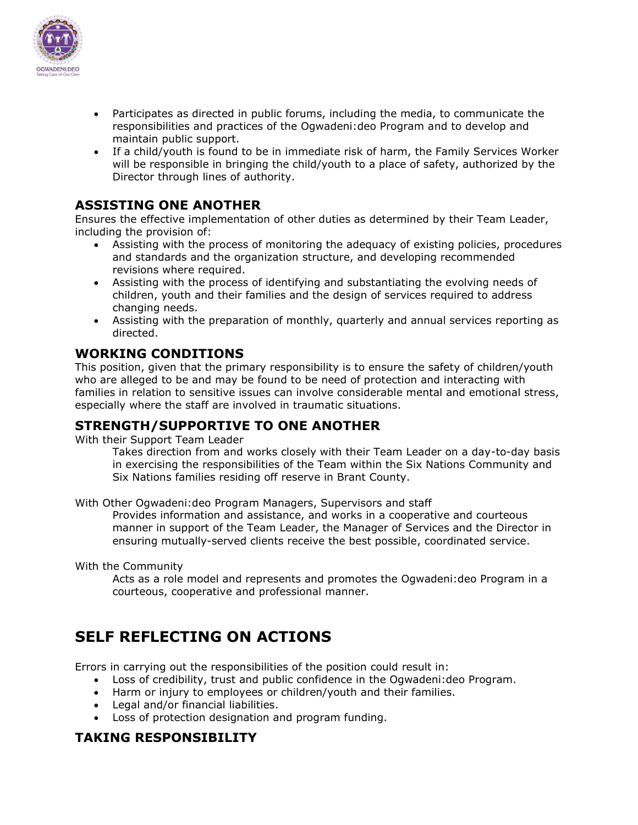

- Participates as directed in public forums, including the media, to communicate the responsibilities and practices of the Ogwadeni:deo Program and to develop and maintain public support.
- If a child/youth is found to be in immediate risk of harm, the Family Services Worker will be responsible in bringing the child/youth to a place of safety, authorized by the Director through lines of authority.

### **ASSISTING ONE ANOTHER**

Ensures the effective implementation of other duties as determined by their Team Leader, including the provision of:

- Assisting with the process of monitoring the adequacy of existing policies, procedures and standards and the organization structure, and developing recommended revisions where required.
- Assisting with the process of identifying and substantiating the evolving needs of children, youth and their families and the design of services required to address changing needs.
- Assisting with the preparation of monthly, quarterly and annual services reporting as directed.

### **WORKING CONDITIONS**

This position, given that the primary responsibility is to ensure the safety of children/youth who are alleged to be and may be found to be need of protection and interacting with families in relation to sensitive issues can involve considerable mental and emotional stress, especially where the staff are involved in traumatic situations.

### **STRENGTH/SUPPORTIVE TO ONE ANOTHER**

With their Support Team Leader

Takes direction from and works closely with their Team Leader on a day-to-day basis in exercising the responsibilities of the Team within the Six Nations Community and Six Nations families residing off reserve in Brant County.

With Other Ogwadeni:deo Program Managers, Supervisors and staff

Provides information and assistance, and works in a cooperative and courteous manner in support of the Team Leader, the Manager of Services and the Director in ensuring mutually-served clients receive the best possible, coordinated service.

With the Community

Acts as a role model and represents and promotes the Ogwadeni:deo Program in a courteous, cooperative and professional manner.

## **SELF REFLECTING ON ACTIONS**

Errors in carrying out the responsibilities of the position could result in:

- Loss of credibility, trust and public confidence in the Ogwadeni:deo Program.
- Harm or injury to employees or children/youth and their families.
- Legal and/or financial liabilities.
- Loss of protection designation and program funding.

### **TAKING RESPONSIBILITY**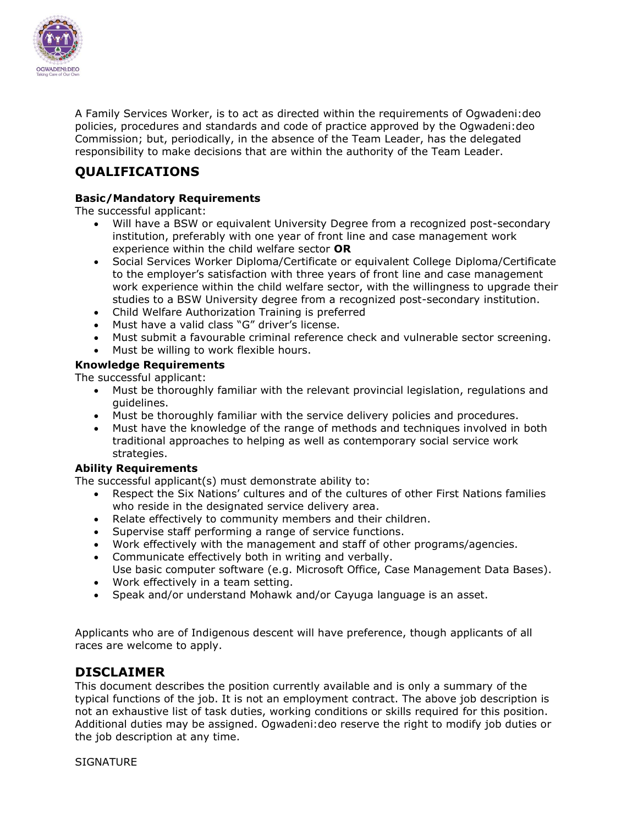

A Family Services Worker, is to act as directed within the requirements of Ogwadeni:deo policies, procedures and standards and code of practice approved by the Ogwadeni:deo Commission; but, periodically, in the absence of the Team Leader, has the delegated responsibility to make decisions that are within the authority of the Team Leader.

### **QUALIFICATIONS**

#### **Basic/Mandatory Requirements**

The successful applicant:

- Will have a BSW or equivalent University Degree from a recognized post-secondary institution, preferably with one year of front line and case management work experience within the child welfare sector **OR**
- Social Services Worker Diploma/Certificate or equivalent College Diploma/Certificate to the employer's satisfaction with three years of front line and case management work experience within the child welfare sector, with the willingness to upgrade their studies to a BSW University degree from a recognized post-secondary institution.
- Child Welfare Authorization Training is preferred
- Must have a valid class "G" driver's license.
- Must submit a favourable criminal reference check and vulnerable sector screening.
- Must be willing to work flexible hours.

#### **Knowledge Requirements**

The successful applicant:

- Must be thoroughly familiar with the relevant provincial legislation, regulations and guidelines.
- Must be thoroughly familiar with the service delivery policies and procedures.
- Must have the knowledge of the range of methods and techniques involved in both traditional approaches to helping as well as contemporary social service work strategies.

#### **Ability Requirements**

The successful applicant(s) must demonstrate ability to:

- Respect the Six Nations' cultures and of the cultures of other First Nations families who reside in the designated service delivery area.
- Relate effectively to community members and their children.
- Supervise staff performing a range of service functions.
- Work effectively with the management and staff of other programs/agencies.
- Communicate effectively both in writing and verbally. Use basic computer software (e.g. Microsoft Office, Case Management Data Bases).
- Work effectively in a team setting.
- Speak and/or understand Mohawk and/or Cayuga language is an asset.

Applicants who are of Indigenous descent will have preference, though applicants of all races are welcome to apply.

### **DISCLAIMER**

This document describes the position currently available and is only a summary of the typical functions of the job. It is not an employment contract. The above job description is not an exhaustive list of task duties, working conditions or skills required for this position. Additional duties may be assigned. Ogwadeni:deo reserve the right to modify job duties or the job description at any time.

**SIGNATURE**